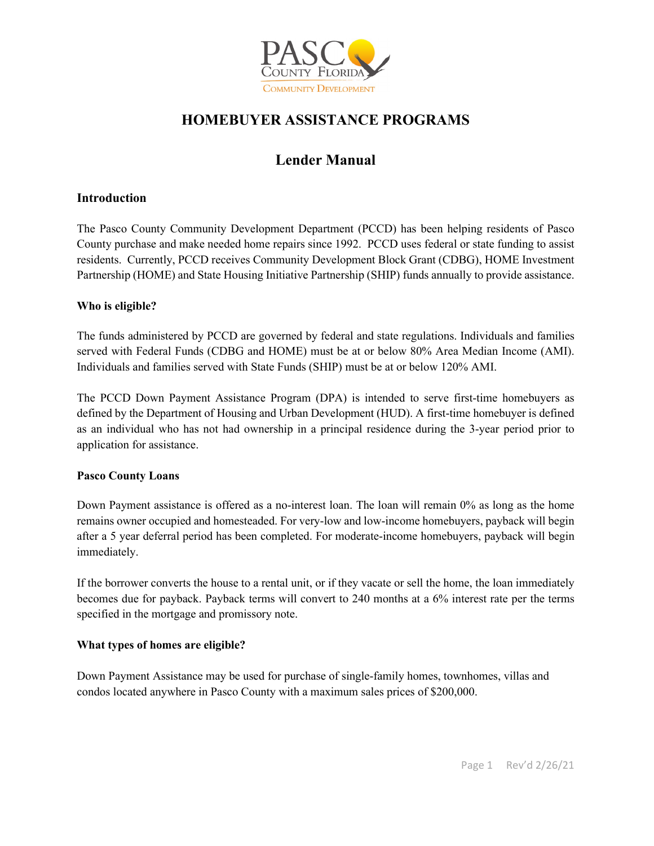

# **HOMEBUYER ASSISTANCE PROGRAMS**

# **Lender Manual**

### **Introduction**

The Pasco County Community Development Department (PCCD) has been helping residents of Pasco County purchase and make needed home repairs since 1992. PCCD uses federal or state funding to assist residents. Currently, PCCD receives Community Development Block Grant (CDBG), HOME Investment Partnership (HOME) and State Housing Initiative Partnership (SHIP) funds annually to provide assistance.

#### **Who is eligible?**

The funds administered by PCCD are governed by federal and state regulations. Individuals and families served with Federal Funds (CDBG and HOME) must be at or below 80% Area Median Income (AMI). Individuals and families served with State Funds (SHIP) must be at or below 120% AMI.

The PCCD Down Payment Assistance Program (DPA) is intended to serve first-time homebuyers as defined by the Department of Housing and Urban Development (HUD). A first-time homebuyer is defined as an individual who has not had ownership in a principal residence during the 3-year period prior to application for assistance.

#### **Pasco County Loans**

Down Payment assistance is offered as a no-interest loan. The loan will remain 0% as long as the home remains owner occupied and homesteaded. For very-low and low-income homebuyers, payback will begin after a 5 year deferral period has been completed. For moderate-income homebuyers, payback will begin immediately.

If the borrower converts the house to a rental unit, or if they vacate or sell the home, the loan immediately becomes due for payback. Payback terms will convert to 240 months at a 6% interest rate per the terms specified in the mortgage and promissory note.

#### **What types of homes are eligible?**

Down Payment Assistance may be used for purchase of single-family homes, townhomes, villas and condos located anywhere in Pasco County with a maximum sales prices of \$200,000.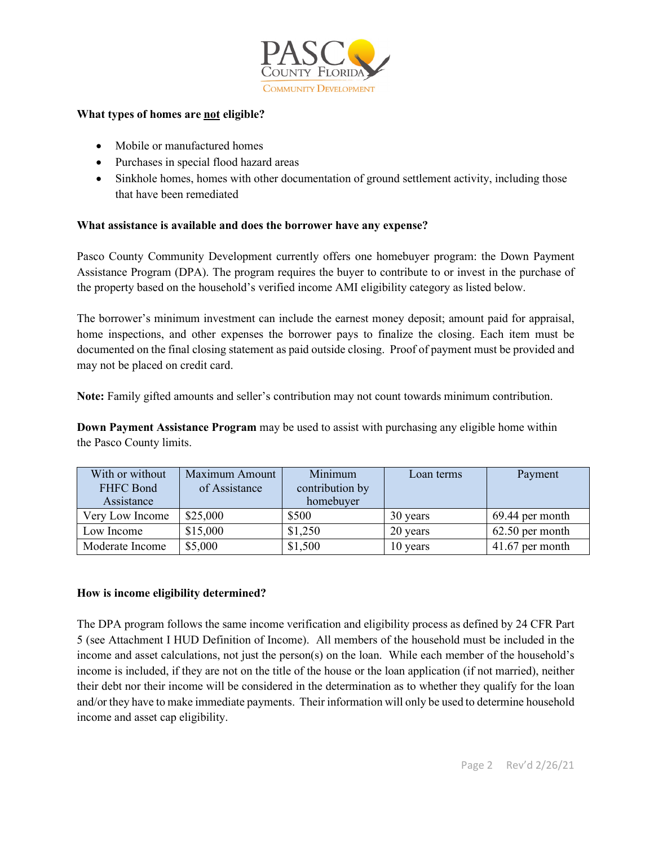

#### **What types of homes are not eligible?**

- Mobile or manufactured homes
- Purchases in special flood hazard areas
- Sinkhole homes, homes with other documentation of ground settlement activity, including those that have been remediated

#### **What assistance is available and does the borrower have any expense?**

Pasco County Community Development currently offers one homebuyer program: the Down Payment Assistance Program (DPA). The program requires the buyer to contribute to or invest in the purchase of the property based on the household's verified income AMI eligibility category as listed below.

The borrower's minimum investment can include the earnest money deposit; amount paid for appraisal, home inspections, and other expenses the borrower pays to finalize the closing. Each item must be documented on the final closing statement as paid outside closing. Proof of payment must be provided and may not be placed on credit card.

**Note:** Family gifted amounts and seller's contribution may not count towards minimum contribution.

**Down Payment Assistance Program** may be used to assist with purchasing any eligible home within the Pasco County limits.

| With or without | Maximum Amount | Minimum         | Loan terms | Payment           |
|-----------------|----------------|-----------------|------------|-------------------|
| FHFC Bond       | of Assistance  | contribution by |            |                   |
| Assistance      |                | homebuyer       |            |                   |
| Very Low Income | \$25,000       | \$500           | 30 years   | 69.44 per month   |
| Low Income      | \$15,000       | \$1,250         | 20 years   | $62.50$ per month |
| Moderate Income | \$5,000        | \$1,500         | 10 years   | 41.67 per month   |

#### **How is income eligibility determined?**

The DPA program follows the same income verification and eligibility process as defined by 24 CFR Part 5 (see Attachment I HUD Definition of Income). All members of the household must be included in the income and asset calculations, not just the person(s) on the loan. While each member of the household's income is included, if they are not on the title of the house or the loan application (if not married), neither their debt nor their income will be considered in the determination as to whether they qualify for the loan and/or they have to make immediate payments. Their information will only be used to determine household income and asset cap eligibility.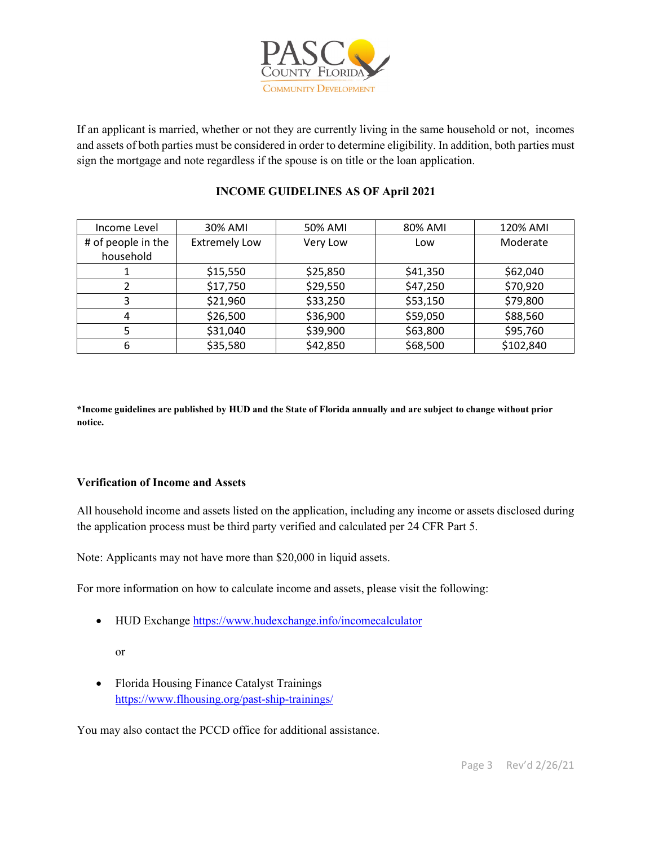

If an applicant is married, whether or not they are currently living in the same household or not, incomes and assets of both parties must be considered in order to determine eligibility. In addition, both parties must sign the mortgage and note regardless if the spouse is on title or the loan application.

### Income Level | 30% AMI | 50% AMI | 80% AMI | 120% AMI # of people in the household Extremely Low | Very Low | Low | Moderate 1 \$15,550 \$25,850 \$41,350 \$62,040 2 | \$17,750 | \$29,550 | \$47,250 | \$70,920  $\begin{array}{cccc} 3 \\ 3 \end{array}$   $\begin{array}{cccc} \text{\$21,960} \\ \text{\$53,250} \\ \end{array}$   $\begin{array}{cccc} \text{\$53,150} \\ \text{\$53,150} \\ \end{array}$ 4 \$26,500 \$36,900 \$59,050 \$88,560 5 | \$31,040 | \$39,900 | \$63,800 | \$95,760 6 | \$35,580 | \$42,850 | \$68,500 | \$102,840

# **INCOME GUIDELINES AS OF April 2021**

**\*Income guidelines are published by HUD and the State of Florida annually and are subject to change without prior notice.**

#### **Verification of Income and Assets**

All household income and assets listed on the application, including any income or assets disclosed during the application process must be third party verified and calculated per 24 CFR Part 5.

Note: Applicants may not have more than \$20,000 in liquid assets.

For more information on how to calculate income and assets, please visit the following:

• HUD Exchange <https://www.hudexchange.info/incomecalculator>

or

• Florida Housing Finance Catalyst Trainings <https://www.flhousing.org/past-ship-trainings/>

You may also contact the PCCD office for additional assistance.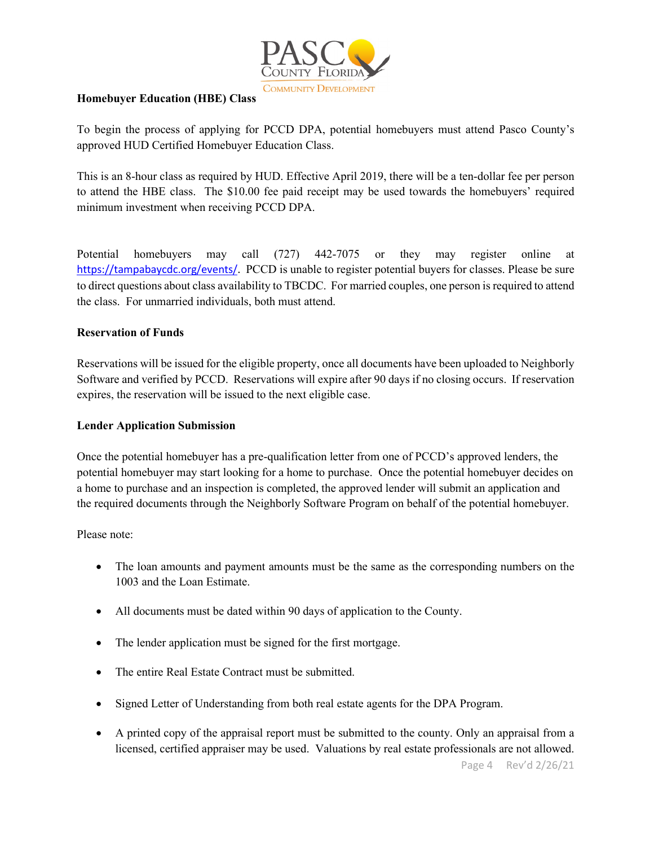

#### **Homebuyer Education (HBE) Class**

To begin the process of applying for PCCD DPA, potential homebuyers must attend Pasco County's approved HUD Certified Homebuyer Education Class.

This is an 8-hour class as required by HUD. Effective April 2019, there will be a ten-dollar fee per person to attend the HBE class. The \$10.00 fee paid receipt may be used towards the homebuyers' required minimum investment when receiving PCCD DPA.

Potential homebuyers may call (727) 442-7075 or they may register online at [https://tampabaycdc.org/events/.](https://tampabaycdc.org/events/) PCCD is unable to register potential buyers for classes. Please be sure to direct questions about class availability to TBCDC. For married couples, one person is required to attend the class. For unmarried individuals, both must attend.

#### **Reservation of Funds**

Reservations will be issued for the eligible property, once all documents have been uploaded to Neighborly Software and verified by PCCD. Reservations will expire after 90 days if no closing occurs. If reservation expires, the reservation will be issued to the next eligible case.

#### **Lender Application Submission**

Once the potential homebuyer has a pre-qualification letter from one of PCCD's approved lenders, the potential homebuyer may start looking for a home to purchase. Once the potential homebuyer decides on a home to purchase and an inspection is completed, the approved lender will submit an application and the required documents through the Neighborly Software Program on behalf of the potential homebuyer.

Please note:

- The loan amounts and payment amounts must be the same as the corresponding numbers on the 1003 and the Loan Estimate.
- All documents must be dated within 90 days of application to the County.
- The lender application must be signed for the first mortgage.
- The entire Real Estate Contract must be submitted.
- Signed Letter of Understanding from both real estate agents for the DPA Program.
- A printed copy of the appraisal report must be submitted to the county. Only an appraisal from a licensed, certified appraiser may be used. Valuations by real estate professionals are not allowed.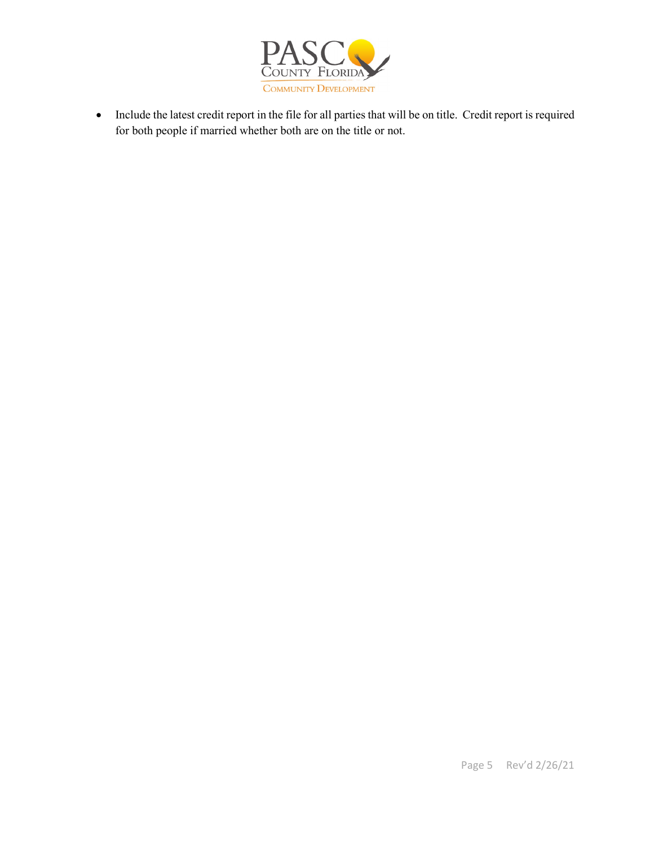

• Include the latest credit report in the file for all parties that will be on title. Credit report is required for both people if married whether both are on the title or not.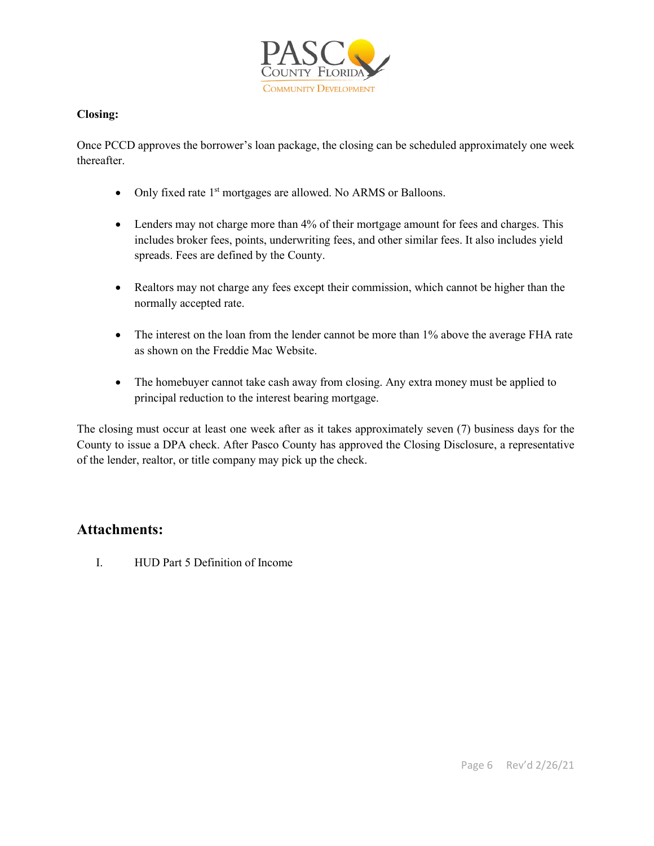

#### **Closing:**

Once PCCD approves the borrower's loan package, the closing can be scheduled approximately one week thereafter.

- Only fixed rate 1<sup>st</sup> mortgages are allowed. No ARMS or Balloons.
- Lenders may not charge more than 4% of their mortgage amount for fees and charges. This includes broker fees, points, underwriting fees, and other similar fees. It also includes yield spreads. Fees are defined by the County.
- Realtors may not charge any fees except their commission, which cannot be higher than the normally accepted rate.
- The interest on the loan from the lender cannot be more than 1% above the average FHA rate as shown on the Freddie Mac Website.
- The homebuyer cannot take cash away from closing. Any extra money must be applied to principal reduction to the interest bearing mortgage.

The closing must occur at least one week after as it takes approximately seven (7) business days for the County to issue a DPA check. After Pasco County has approved the Closing Disclosure, a representative of the lender, realtor, or title company may pick up the check.

# **Attachments:**

I. HUD Part 5 Definition of Income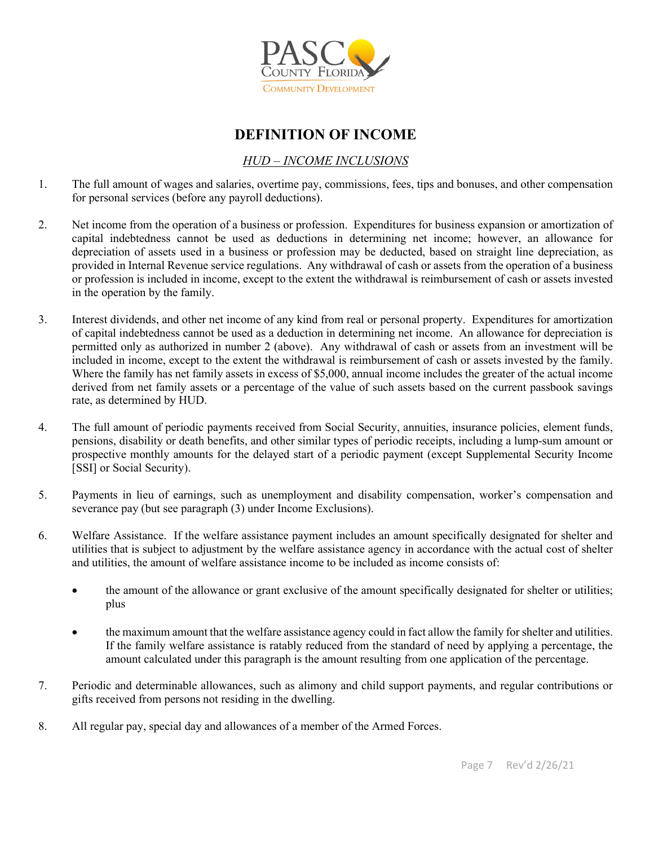

# **DEFINITION OF INCOME**

## *HUD – INCOME INCLUSIONS*

- 1. The full amount of wages and salaries, overtime pay, commissions, fees, tips and bonuses, and other compensation for personal services (before any payroll deductions).
- 2. Net income from the operation of a business or profession. Expenditures for business expansion or amortization of capital indebtedness cannot be used as deductions in determining net income; however, an allowance for depreciation of assets used in a business or profession may be deducted, based on straight line depreciation, as provided in Internal Revenue service regulations. Any withdrawal of cash or assets from the operation of a business or profession is included in income, except to the extent the withdrawal is reimbursement of cash or assets invested in the operation by the family.
- 3. Interest dividends, and other net income of any kind from real or personal property. Expenditures for amortization of capital indebtedness cannot be used as a deduction in determining net income. An allowance for depreciation is permitted only as authorized in number 2 (above). Any withdrawal of cash or assets from an investment will be included in income, except to the extent the withdrawal is reimbursement of cash or assets invested by the family. Where the family has net family assets in excess of \$5,000, annual income includes the greater of the actual income derived from net family assets or a percentage of the value of such assets based on the current passbook savings rate, as determined by HUD.
- 4. The full amount of periodic payments received from Social Security, annuities, insurance policies, element funds, pensions, disability or death benefits, and other similar types of periodic receipts, including a lump-sum amount or prospective monthly amounts for the delayed start of a periodic payment (except Supplemental Security Income [SSI] or Social Security).
- 5. Payments in lieu of earnings, such as unemployment and disability compensation, worker's compensation and severance pay (but see paragraph (3) under Income Exclusions).
- 6. Welfare Assistance. If the welfare assistance payment includes an amount specifically designated for shelter and utilities that is subject to adjustment by the welfare assistance agency in accordance with the actual cost of shelter and utilities, the amount of welfare assistance income to be included as income consists of:
	- the amount of the allowance or grant exclusive of the amount specifically designated for shelter or utilities; plus
	- the maximum amount that the welfare assistance agency could in fact allow the family for shelter and utilities. If the family welfare assistance is ratably reduced from the standard of need by applying a percentage, the amount calculated under this paragraph is the amount resulting from one application of the percentage.
- 7. Periodic and determinable allowances, such as alimony and child support payments, and regular contributions or gifts received from persons not residing in the dwelling.
- 8. All regular pay, special day and allowances of a member of the Armed Forces.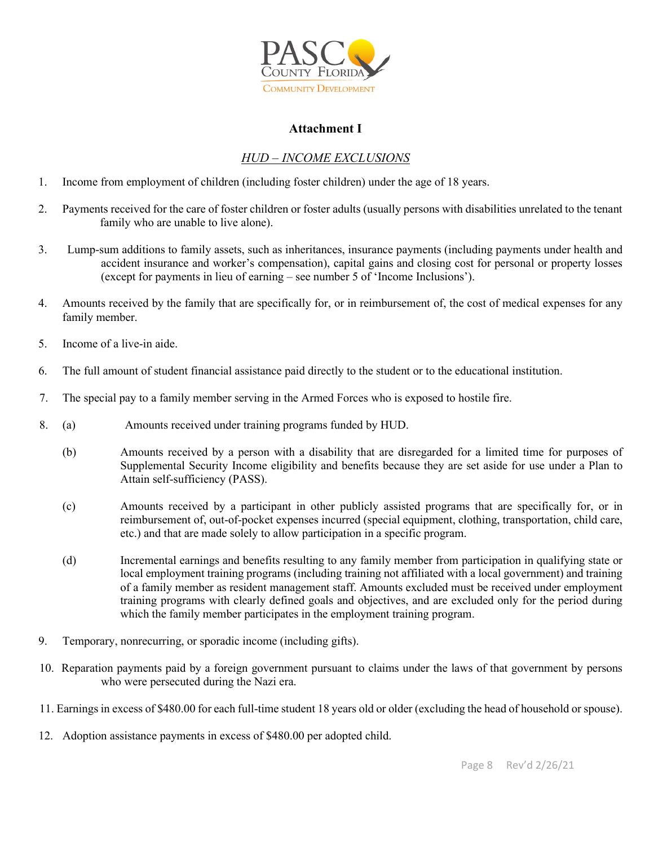

#### **Attachment I**

## *HUD – INCOME EXCLUSIONS*

- 1. Income from employment of children (including foster children) under the age of 18 years.
- 2. Payments received for the care of foster children or foster adults (usually persons with disabilities unrelated to the tenant family who are unable to live alone).
- 3. Lump-sum additions to family assets, such as inheritances, insurance payments (including payments under health and accident insurance and worker's compensation), capital gains and closing cost for personal or property losses (except for payments in lieu of earning – see number 5 of 'Income Inclusions').
- 4. Amounts received by the family that are specifically for, or in reimbursement of, the cost of medical expenses for any family member.
- 5. Income of a live-in aide.
- 6. The full amount of student financial assistance paid directly to the student or to the educational institution.
- 7. The special pay to a family member serving in the Armed Forces who is exposed to hostile fire.
- 8. (a) Amounts received under training programs funded by HUD.
	- (b) Amounts received by a person with a disability that are disregarded for a limited time for purposes of Supplemental Security Income eligibility and benefits because they are set aside for use under a Plan to Attain self-sufficiency (PASS).
	- (c) Amounts received by a participant in other publicly assisted programs that are specifically for, or in reimbursement of, out-of-pocket expenses incurred (special equipment, clothing, transportation, child care, etc.) and that are made solely to allow participation in a specific program.
	- (d) Incremental earnings and benefits resulting to any family member from participation in qualifying state or local employment training programs (including training not affiliated with a local government) and training of a family member as resident management staff. Amounts excluded must be received under employment training programs with clearly defined goals and objectives, and are excluded only for the period during which the family member participates in the employment training program.
- 9. Temporary, nonrecurring, or sporadic income (including gifts).
- 10. Reparation payments paid by a foreign government pursuant to claims under the laws of that government by persons who were persecuted during the Nazi era.
- 11. Earnings in excess of \$480.00 for each full-time student 18 years old or older (excluding the head of household or spouse).
- 12. Adoption assistance payments in excess of \$480.00 per adopted child.